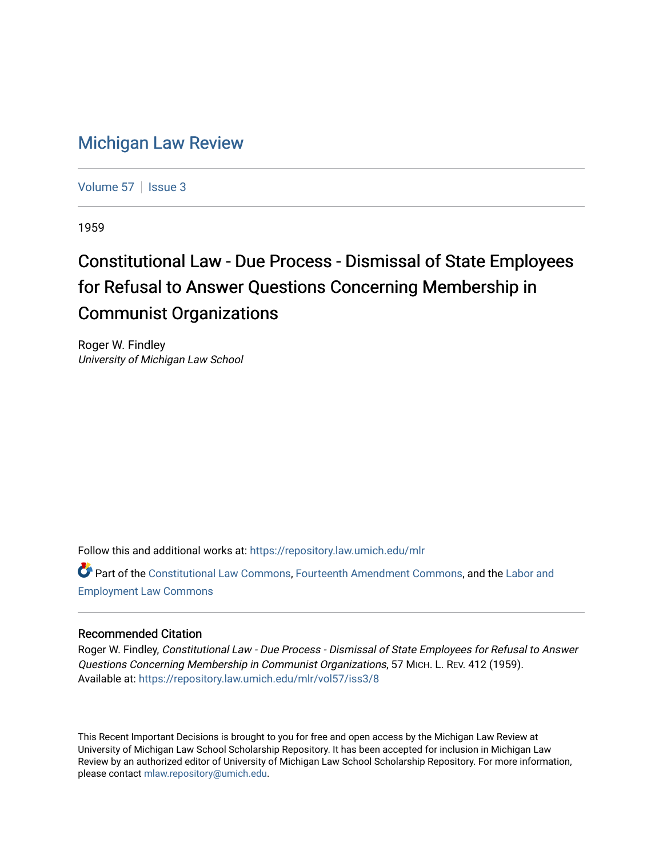## [Michigan Law Review](https://repository.law.umich.edu/mlr)

[Volume 57](https://repository.law.umich.edu/mlr/vol57) | [Issue 3](https://repository.law.umich.edu/mlr/vol57/iss3)

1959

## Constitutional Law - Due Process - Dismissal of State Employees for Refusal to Answer Questions Concerning Membership in Communist Organizations

Roger W. Findley University of Michigan Law School

Follow this and additional works at: [https://repository.law.umich.edu/mlr](https://repository.law.umich.edu/mlr?utm_source=repository.law.umich.edu%2Fmlr%2Fvol57%2Fiss3%2F8&utm_medium=PDF&utm_campaign=PDFCoverPages) 

Part of the [Constitutional Law Commons,](http://network.bepress.com/hgg/discipline/589?utm_source=repository.law.umich.edu%2Fmlr%2Fvol57%2Fiss3%2F8&utm_medium=PDF&utm_campaign=PDFCoverPages) [Fourteenth Amendment Commons](http://network.bepress.com/hgg/discipline/1116?utm_source=repository.law.umich.edu%2Fmlr%2Fvol57%2Fiss3%2F8&utm_medium=PDF&utm_campaign=PDFCoverPages), and the Labor and [Employment Law Commons](http://network.bepress.com/hgg/discipline/909?utm_source=repository.law.umich.edu%2Fmlr%2Fvol57%2Fiss3%2F8&utm_medium=PDF&utm_campaign=PDFCoverPages)

## Recommended Citation

Roger W. Findley, Constitutional Law - Due Process - Dismissal of State Employees for Refusal to Answer Questions Concerning Membership in Communist Organizations, 57 MICH. L. REV. 412 (1959). Available at: [https://repository.law.umich.edu/mlr/vol57/iss3/8](https://repository.law.umich.edu/mlr/vol57/iss3/8?utm_source=repository.law.umich.edu%2Fmlr%2Fvol57%2Fiss3%2F8&utm_medium=PDF&utm_campaign=PDFCoverPages)

This Recent Important Decisions is brought to you for free and open access by the Michigan Law Review at University of Michigan Law School Scholarship Repository. It has been accepted for inclusion in Michigan Law Review by an authorized editor of University of Michigan Law School Scholarship Repository. For more information, please contact [mlaw.repository@umich.edu.](mailto:mlaw.repository@umich.edu)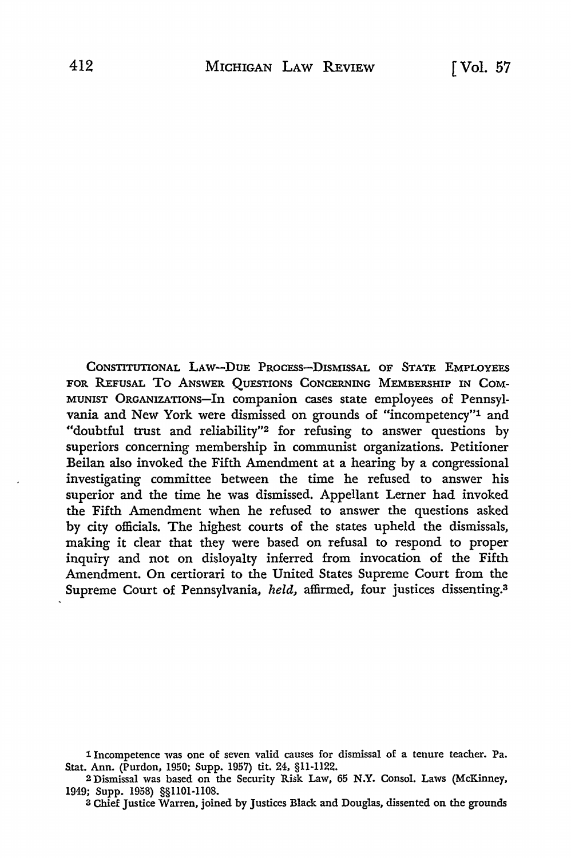CONSTITUTIONAL LAW-DUE PROCESS-DISMISSAL OF STATE EMPLOYEES FOR REFUSAL To ANSWER QUESTIONS CONCERNING MEMBERSHIP IN COM-MUNIST ORGANIZATIONS-In companion cases state employees of Pennsylvania and New York were dismissed on grounds of "incompetency"1 and "doubtful trust and reliability"2 for refusing to answer questions by superiors concerning membership in communist organizations. Petitioner Beilan also invoked the Fifth Amendment at a hearing by a congressional investigating committee between the time he refused to answer his superior and the time he was dismissed. Appellant Lerner had invoked the Fifth Amendment when he refused to answer the questions asked by city officials. The highest courts of the states upheld the dismissals, making it clear that they were based on refusal to respond to proper inquiry and not on disloyalty inferred from invocation of the Fifth Amendment. On certiorari to the United States Supreme Court from the Supreme Court of Pennsylvania, *held,* affirmed, four justices dissenting.<sup>3</sup>

3 Chief Justice Warren, joined by Justices Black and Douglas, dissented on the grounds

<sup>1</sup> Incompetence was one of seven valid causes for dismissal of a tenure teacher. Pa. Stat. Ann. (Purdon, 1950; Supp. 1957) tit. 24, §11-1122.

<sup>2</sup> Dismissal was based on the Security Risk Law, 65 **N.Y.** Consol. Laws (McKinney, 1949; Supp. 1958) §§1101-1108.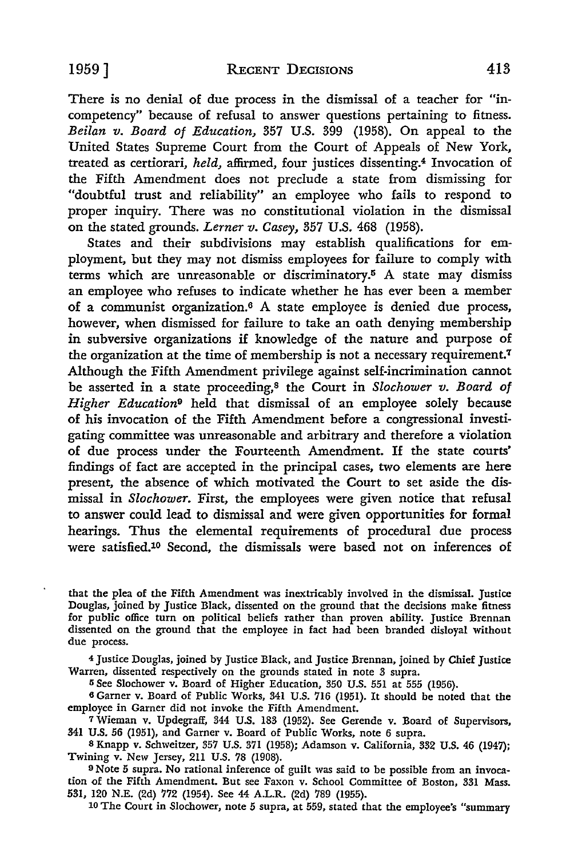There is no denial of due process in the dismissal of a teacher for "incompetency" because of refusal to answer questions pertaining to fitness. *Beilan v. Board of Education,* 357 U.S. 399 (1958). On appeal to the United States Supreme Court from the Court of Appeals of New York, treated as certiorari, *held,* affirmed, four justices dissenting.4 Invocation of the Fifth Amendment does not preclude a state from dismissing for "doubtful trust and reliability" an employee who fails to respond to proper inquiry. There was no constitutional violation in the dismissal on the stated grounds. *Lerner v. Casey,* 357 U.S. 468 (1958).

States and their subdivisions may establish qualifications for employment, but they may not dismiss employees for failure to comply with terms which are unreasonable or discriminatory.<sup>5</sup> A state may dismiss an employee who refuses to indicate whether he has ever been a member of a communist organization.6 A state employee is denied due process, however, when dismissed for failure to take an oath denying membership in subversive organizations if knowledge of the nature and purpose of the organization at the time of membership is not a necessary requirement.<sup>7</sup> Although the Fifth Amendment privilege against self-incrimination cannot be asserted in a state proceeding,8 the Court in *Slochower v. Board of Higher Education9* held that dismissal of an employee solely because of his invocation of the Fifth Amendment before a congressional investigating committee was unreasonable and arbitrary and therefore a violation of due process under the Fourteenth Amendment. If the state courts' findings of fact are accepted in the principal cases, two elements are here present, the absence of which motivated the Court to set aside the dismissal in *Slochower.* First, the employees were given notice that refusal to answer could lead to dismissal and were given opportunities for formal hearings. Thus the elemental requirements of procedural due process were satisfied.10 Second, the dismissals were based not on inferences of

that the plea of the Fifth Amendment was inextricably involved in the dismissal. Justice Douglas, joined by Justice Black, dissented on the ground that the decisions make fitness for public office turn on political beliefs rather than proven ability. Justice Brennan dissented on the ground that the employee in fact had been branded disloyal without due process.

<sup>4</sup>Justice Douglas, joined by Justice Black, and Justice Brennan, joined by Chief Justice Warren, dissented respectively on the grounds stated in note 3 supra.

<sup>5</sup> See Slochower v. Board of Higher Education, 350 U.S. 551 at 555 (1956).

<sup>6</sup>Garner v. Board of Public Works, 341 U.S. 716 (1951). It should be noted that the employee in Garner did not invoke the Fifth Amendment.

7 Wieman v. Updegraff, 344 U.S. 183 (1952). See Gcrende v. Board of Supervisors, 341 U.S. 56 (1951), and Garner v. Board of Public Works, note 6 supra.

8 Knapp v. Schweitzer, 357 U.S. 371 (1958); Adamson v. California, 332 U.S. 46 (1947); Twining v. New Jersey, 211 U.S. 78 (1908).

9 Note 5 supra. No rational inference of guilt was said to be possible from an invocation of the Fifth Amendment. But see Faxon v. School Committee of Boston, 331 Mass. 531, 120 N.E. (2d) 772 (1954). See 44 A.L.R. (2d) 789 (1955).

10 The Court in Slochower, note 5 supra, at 559, stated that the employee's "summary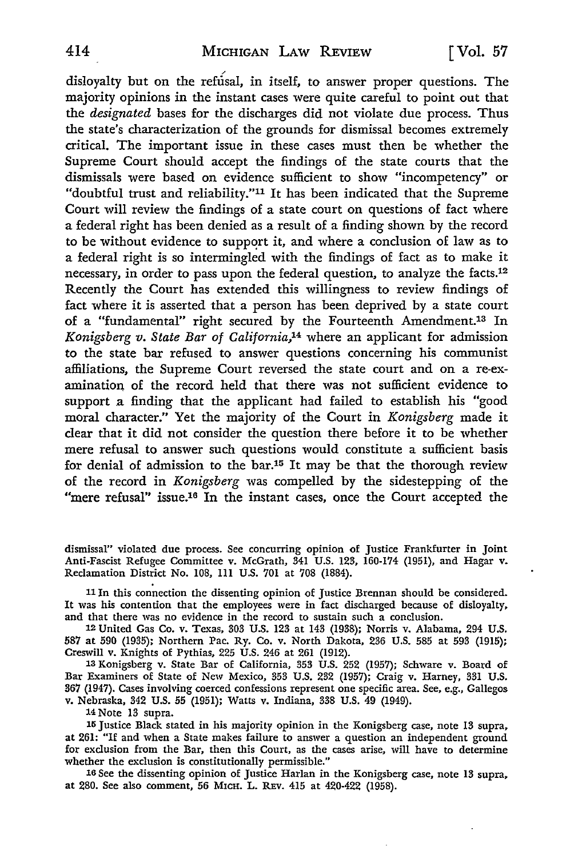disloyalty but on the refusal, in itself, to answer proper questions. The majority opinions in the instant cases were quite careful to point out that the *designated* bases for the discharges did not violate due process. Thus the state's characterization of the grounds for dismissal becomes extremely critical. The important issue in these cases must then be whether the Supreme Court should accept the findings of the state courts that the dismissals were based on evidence sufficient to show "incompetency" or "doubtful trust and reliability."11 It has been indicated that the Supreme Court will review the findings of a state court on questions of fact where a federal right has been denied as a result of a finding shown by the record to be without evidence to support it, and where a conclusion of law as to a federal right is so intermingled with the findings of fact as to make it necessary, in order to pass upon the federal question, to analyze the facts.12 Recently the Court has extended this willingness to review findings of fact where it is asserted that a person has been deprived by a state court of a "fundamental" right secured by the Fourteenth Amendment.13 In *Konigsberg v. State Bar of California,1*4 where an applicant for admission **to** the state bar refused to answer questions concerning his communist affiliations, the Supreme Court reversed the state court and on a re-examination of the record held that there was not sufficient evidence to support a finding that the applicant had failed to establish his "good moral character." Yet the majority of the Court in *Konigsberg* made it clear that it did not consider the question there before it to be whether mere refusal to answer such questions would constitute a sufficient basis for denial of admission to the bar.15 It may be that the thorough review of the record in *Konigsberg* was compelled by the sidestepping of the "mere refusal" issue.<sup>16</sup> In the instant cases, once the Court accepted the

dismissal'' violated due process. See concurring opinion of Justice Frankfurter in Joint Anti-Fascist Refugee Committee v. McGrath, 341 U.S. 123, 160-174 (1951), and Hagar v. Reclamation District No. 108, 111 U.S. 701 at 708 (1884).

<sup>11</sup>In this connection the dissenting opinion of Justice Brennan should be considered. It was his contention that the employees were in fact discharged because of disloyalty, and that there was no evidence in the record to sustain such a conclusion.

12 United Gas Co. v. Texas, 303 U.S. 123 at 143 (1938); Norris v. Alabama, 294 U.S. 587 at 590 (1935); Northern Pac. Ry. Co. v. North Dakota, 236 U.S. 585 at 593 (1915); Creswill v. Knights of Pythias, 225 U.S. 246 at 261 (1912).

13 Konigsberg v. State Bar of California, 353 U.S. 252 (1957); Schware v. Board of Bar Examiners of State of New Mexico, 353 U.S. 232 (1957); Craig v. Harney, 331 U.S. 367 (1947). Cases involving coerced confessions represent one specific area. See, e.g., Gallegos v. Nebraska, 342 U.S. 55 (1951); Watts v. Indiana, 338 U.S. 49 (1949).

14 Note 13 supra.

<sup>15</sup>Justice Black stated in his majority opinion in the Konigsberg case, note 13 supra, at 261: "If and when a State makes failure to answer a question an independent ground for exclusion from the Bar, then this Court, as the cases arise, will have to determine whether the exclusion is constitutionally permissible."

16 See the dissenting opinion of Justice Harlan in the Konigsberg case, note 13 supra, at 280. See also comment, 56 M1cH. L. REv. 415 at 420-422 (1958).